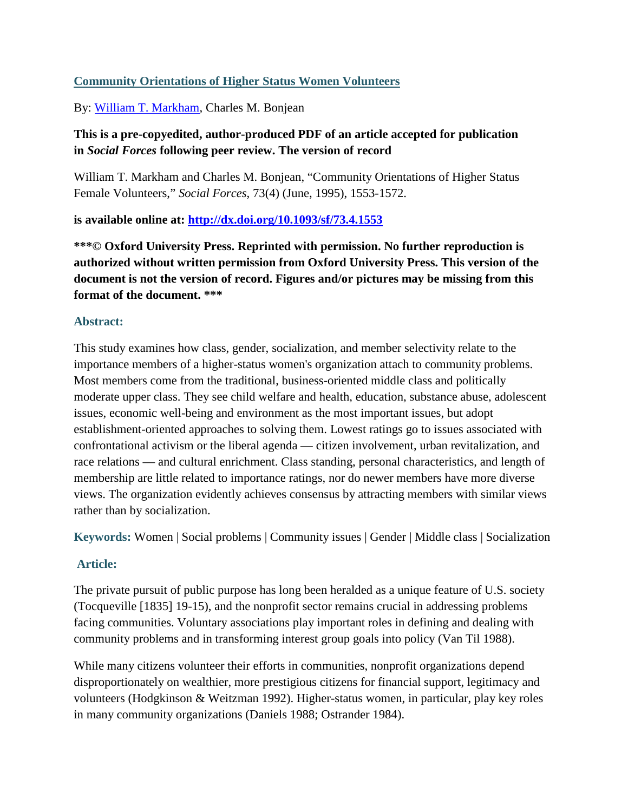# **Community Orientations of Higher Status Women Volunteers**

By: [William T. Markham,](http://libres.uncg.edu/ir/uncg/clist.aspx?id=9035) Charles M. Bonjean

## **This is a pre-copyedited, author-produced PDF of an article accepted for publication in** *Social Forces* **following peer review. The version of record**

William T. Markham and Charles M. Bonjean, "Community Orientations of Higher Status Female Volunteers," *Social Forces*, 73(4) (June, 1995), 1553-1572.

**is available online at:<http://dx.doi.org/10.1093/sf/73.4.1553>**

**\*\*\*© Oxford University Press. Reprinted with permission. No further reproduction is authorized without written permission from Oxford University Press. This version of the document is not the version of record. Figures and/or pictures may be missing from this format of the document. \*\*\***

#### **Abstract:**

This study examines how class, gender, socialization, and member selectivity relate to the importance members of a higher-status women's organization attach to community problems. Most members come from the traditional, business-oriented middle class and politically moderate upper class. They see child welfare and health, education, substance abuse, adolescent issues, economic well-being and environment as the most important issues, but adopt establishment-oriented approaches to solving them. Lowest ratings go to issues associated with confrontational activism or the liberal agenda — citizen involvement, urban revitalization, and race relations — and cultural enrichment. Class standing, personal characteristics, and length of membership are little related to importance ratings, nor do newer members have more diverse views. The organization evidently achieves consensus by attracting members with similar views rather than by socialization.

**Keywords:** Women | Social problems | Community issues | Gender | Middle class | Socialization

### **Article:**

The private pursuit of public purpose has long been heralded as a unique feature of U.S. society (Tocqueville [1835] 19-15), and the nonprofit sector remains crucial in addressing problems facing communities. Voluntary associations play important roles in defining and dealing with community problems and in transforming interest group goals into policy (Van Til 1988).

While many citizens volunteer their efforts in communities, nonprofit organizations depend disproportionately on wealthier, more prestigious citizens for financial support, legitimacy and volunteers (Hodgkinson & Weitzman 1992). Higher-status women, in particular, play key roles in many community organizations (Daniels 1988; Ostrander 1984).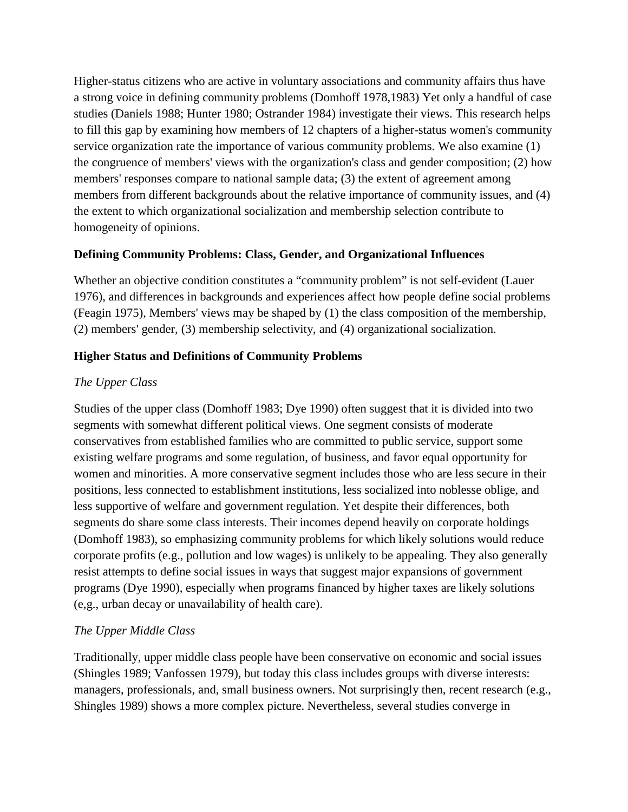Higher-status citizens who are active in voluntary associations and community affairs thus have a strong voice in defining community problems (Domhoff 1978,1983) Yet only a handful of case studies (Daniels 1988; Hunter 1980; Ostrander 1984) investigate their views. This research helps to fill this gap by examining how members of 12 chapters of a higher-status women's community service organization rate the importance of various community problems. We also examine (1) the congruence of members' views with the organization's class and gender composition; (2) how members' responses compare to national sample data; (3) the extent of agreement among members from different backgrounds about the relative importance of community issues, and (4) the extent to which organizational socialization and membership selection contribute to homogeneity of opinions.

## **Defining Community Problems: Class, Gender, and Organizational Influences**

Whether an objective condition constitutes a "community problem" is not self-evident (Lauer 1976), and differences in backgrounds and experiences affect how people define social problems (Feagin 1975), Members' views may be shaped by (1) the class composition of the membership, (2) members' gender, (3) membership selectivity, and (4) organizational socialization.

## **Higher Status and Definitions of Community Problems**

## *The Upper Class*

Studies of the upper class (Domhoff 1983; Dye 1990) often suggest that it is divided into two segments with somewhat different political views. One segment consists of moderate conservatives from established families who are committed to public service, support some existing welfare programs and some regulation, of business, and favor equal opportunity for women and minorities. A more conservative segment includes those who are less secure in their positions, less connected to establishment institutions, less socialized into noblesse oblige, and less supportive of welfare and government regulation. Yet despite their differences, both segments do share some class interests. Their incomes depend heavily on corporate holdings (Domhoff 1983), so emphasizing community problems for which likely solutions would reduce corporate profits (e.g., pollution and low wages) is unlikely to be appealing. They also generally resist attempts to define social issues in ways that suggest major expansions of government programs (Dye 1990), especially when programs financed by higher taxes are likely solutions (e,g., urban decay or unavailability of health care).

# *The Upper Middle Class*

Traditionally, upper middle class people have been conservative on economic and social issues (Shingles 1989; Vanfossen 1979), but today this class includes groups with diverse interests: managers, professionals, and, small business owners. Not surprisingly then, recent research (e.g., Shingles 1989) shows a more complex picture. Nevertheless, several studies converge in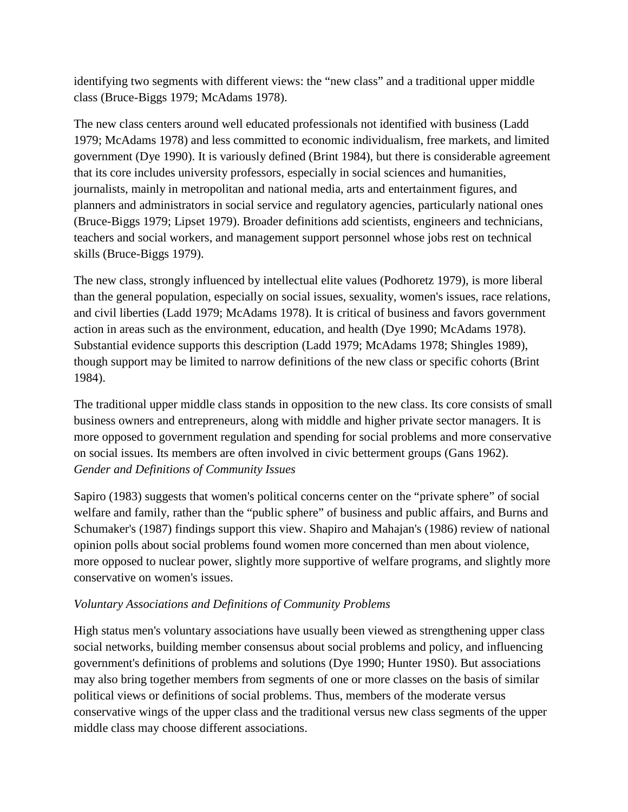identifying two segments with different views: the "new class" and a traditional upper middle class (Bruce-Biggs 1979; McAdams 1978).

The new class centers around well educated professionals not identified with business (Ladd 1979; McAdams 1978) and less committed to economic individualism, free markets, and limited government (Dye 1990). It is variously defined (Brint 1984), but there is considerable agreement that its core includes university professors, especially in social sciences and humanities, journalists, mainly in metropolitan and national media, arts and entertainment figures, and planners and administrators in social service and regulatory agencies, particularly national ones (Bruce-Biggs 1979; Lipset 1979). Broader definitions add scientists, engineers and technicians, teachers and social workers, and management support personnel whose jobs rest on technical skills (Bruce-Biggs 1979).

The new class, strongly influenced by intellectual elite values (Podhoretz 1979), is more liberal than the general population, especially on social issues, sexuality, women's issues, race relations, and civil liberties (Ladd 1979; McAdams 1978). It is critical of business and favors government action in areas such as the environment, education, and health (Dye 1990; McAdams 1978). Substantial evidence supports this description (Ladd 1979; McAdams 1978; Shingles 1989), though support may be limited to narrow definitions of the new class or specific cohorts (Brint 1984).

The traditional upper middle class stands in opposition to the new class. Its core consists of small business owners and entrepreneurs, along with middle and higher private sector managers. It is more opposed to government regulation and spending for social problems and more conservative on social issues. Its members are often involved in civic betterment groups (Gans 1962). *Gender and Definitions of Community Issues*

Sapiro (1983) suggests that women's political concerns center on the "private sphere" of social welfare and family, rather than the "public sphere" of business and public affairs, and Burns and Schumaker's (1987) findings support this view. Shapiro and Mahajan's (1986) review of national opinion polls about social problems found women more concerned than men about violence, more opposed to nuclear power, slightly more supportive of welfare programs, and slightly more conservative on women's issues.

### *Voluntary Associations and Definitions of Community Problems*

High status men's voluntary associations have usually been viewed as strengthening upper class social networks, building member consensus about social problems and policy, and influencing government's definitions of problems and solutions (Dye 1990; Hunter 19S0). But associations may also bring together members from segments of one or more classes on the basis of similar political views or definitions of social problems. Thus, members of the moderate versus conservative wings of the upper class and the traditional versus new class segments of the upper middle class may choose different associations.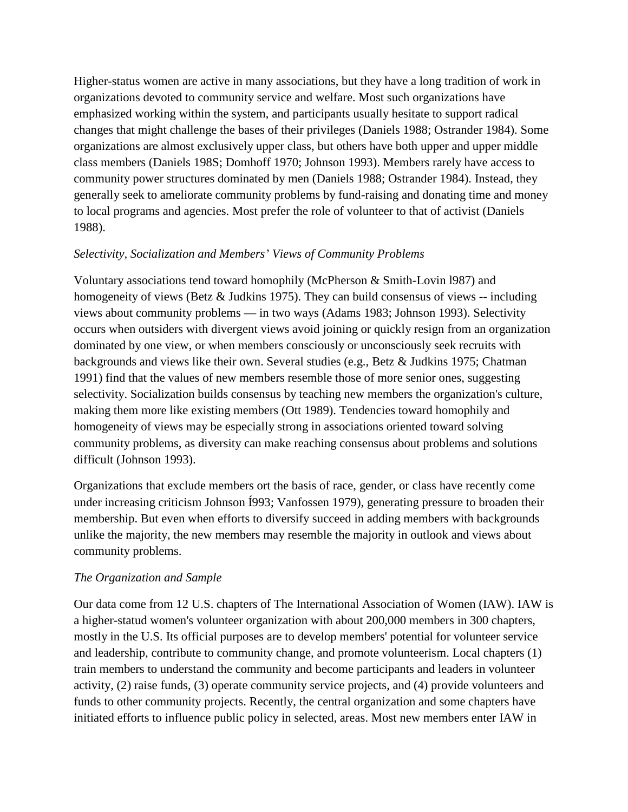Higher-status women are active in many associations, but they have a long tradition of work in organizations devoted to community service and welfare. Most such organizations have emphasized working within the system, and participants usually hesitate to support radical changes that might challenge the bases of their privileges (Daniels 1988; Ostrander 1984). Some organizations are almost exclusively upper class, but others have both upper and upper middle class members (Daniels 198S; Domhoff 1970; Johnson 1993). Members rarely have access to community power structures dominated by men (Daniels 1988; Ostrander 1984). Instead, they generally seek to ameliorate community problems by fund-raising and donating time and money to local programs and agencies. Most prefer the role of volunteer to that of activist (Daniels 1988).

### *Selectivity, Socialization and Members' Views of Community Problems*

Voluntary associations tend toward homophily (McPherson & Smith-Lovin l987) and homogeneity of views (Betz & Judkins 1975). They can build consensus of views -- including views about community problems — in two ways (Adams 1983; Johnson 1993). Selectivity occurs when outsiders with divergent views avoid joining or quickly resign from an organization dominated by one view, or when members consciously or unconsciously seek recruits with backgrounds and views like their own. Several studies (e.g., Betz & Judkins 1975; Chatman 1991) find that the values of new members resemble those of more senior ones, suggesting selectivity. Socialization builds consensus by teaching new members the organization's culture, making them more like existing members (Ott 1989). Tendencies toward homophily and homogeneity of views may be especially strong in associations oriented toward solving community problems, as diversity can make reaching consensus about problems and solutions difficult (Johnson 1993).

Organizations that exclude members ort the basis of race, gender, or class have recently come under increasing criticism Johnson Í993; Vanfossen 1979), generating pressure to broaden their membership. But even when efforts to diversify succeed in adding members with backgrounds unlike the majority, the new members may resemble the majority in outlook and views about community problems.

### *The Organization and Sample*

Our data come from 12 U.S. chapters of The International Association of Women (IAW). IAW is a higher-statud women's volunteer organization with about 200,000 members in 300 chapters, mostly in the U.S. Its official purposes are to develop members' potential for volunteer service and leadership, contribute to community change, and promote volunteerism. Local chapters (1) train members to understand the community and become participants and leaders in volunteer activity, (2) raise funds, (3) operate community service projects, and (4) provide volunteers and funds to other community projects. Recently, the central organization and some chapters have initiated efforts to influence public policy in selected, areas. Most new members enter IAW in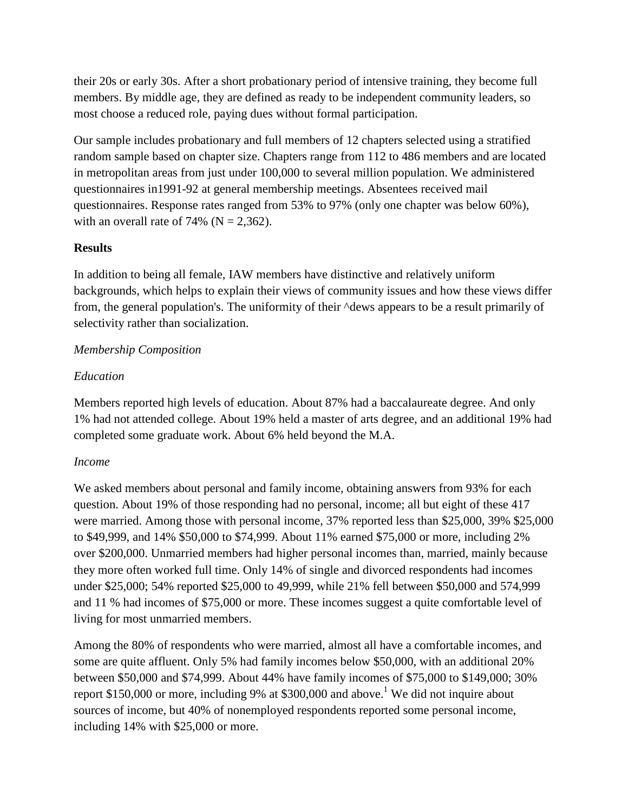their 20s or early 30s. After a short probationary period of intensive training, they become full members. By middle age, they are defined as ready to be independent community leaders, so most choose a reduced role, paying dues without formal participation.

Our sample includes probationary and full members of 12 chapters selected using a stratified random sample based on chapter size. Chapters range from 112 to 486 members and are located in metropolitan areas from just under 100,000 to several million population. We administered questionnaires in1991-92 at general membership meetings. Absentees received mail questionnaires. Response rates ranged from 53% to 97% (only one chapter was below 60%), with an overall rate of 74% ( $N = 2,362$ ).

## **Results**

In addition to being all female, IAW members have distinctive and relatively uniform backgrounds, which helps to explain their views of community issues and how these views differ from, the general population's. The uniformity of their ^dews appears to be a result primarily of selectivity rather than socialization.

## *Membership Composition*

## *Education*

Members reported high levels of education. About 87% had a baccalaureate degree. And only 1% had not attended college. About 19% held a master of arts degree, and an additional 19% had completed some graduate work. About 6% held beyond the M.A.

### *Income*

We asked members about personal and family income, obtaining answers from 93% for each question. About 19% of those responding had no personal, income; all but eight of these 417 were married. Among those with personal income, 37% reported less than \$25,000, 39% \$25,000 to \$49,999, and 14% \$50,000 to \$74,999. About 11% earned \$75,000 or more, including 2% over \$200,000. Unmarried members had higher personal incomes than, married, mainly because they more often worked full time. Only 14% of single and divorced respondents had incomes under \$25,000; 54% reported \$25,000 to 49,999, while 21% fell between \$50,000 and 574,999 and 11 % had incomes of \$75,000 or more. These incomes suggest a quite comfortable level of living for most unmarried members.

Among the 80% of respondents who were married, almost all have a comfortable incomes, and some are quite affluent. Only 5% had family incomes below \$50,000, with an additional 20% between \$50,000 and \$74,999. About 44% have family incomes of \$75,000 to \$149,000; 30% report \$150,000 or more, including 9% at \$300,000 and above.<sup>1</sup> We did not inquire about sources of income, but 40% of nonemployed respondents reported some personal income, including 14% with \$25,000 or more.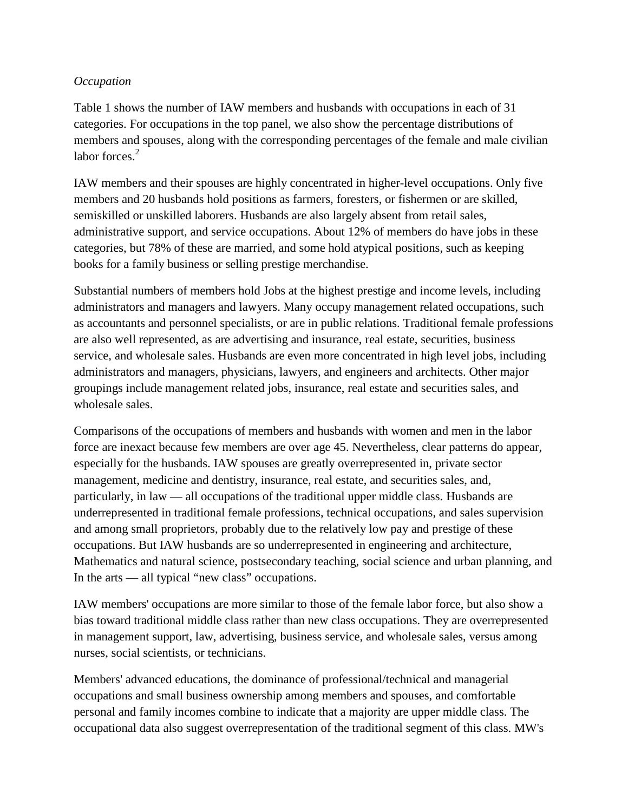#### *Occupation*

Table 1 shows the number of IAW members and husbands with occupations in each of 31 categories. For occupations in the top panel, we also show the percentage distributions of members and spouses, along with the corresponding percentages of the female and male civilian labor forces $<sup>2</sup>$ </sup>

IAW members and their spouses are highly concentrated in higher-level occupations. Only five members and 20 husbands hold positions as farmers, foresters, or fishermen or are skilled, semiskilled or unskilled laborers. Husbands are also largely absent from retail sales, administrative support, and service occupations. About 12% of members do have jobs in these categories, but 78% of these are married, and some hold atypical positions, such as keeping books for a family business or selling prestige merchandise.

Substantial numbers of members hold Jobs at the highest prestige and income levels, including administrators and managers and lawyers. Many occupy management related occupations, such as accountants and personnel specialists, or are in public relations. Traditional female professions are also well represented, as are advertising and insurance, real estate, securities, business service, and wholesale sales. Husbands are even more concentrated in high level jobs, including administrators and managers, physicians, lawyers, and engineers and architects. Other major groupings include management related jobs, insurance, real estate and securities sales, and wholesale sales.

Comparisons of the occupations of members and husbands with women and men in the labor force are inexact because few members are over age 45. Nevertheless, clear patterns do appear, especially for the husbands. IAW spouses are greatly overrepresented in, private sector management, medicine and dentistry, insurance, real estate, and securities sales, and, particularly, in law — all occupations of the traditional upper middle class. Husbands are underrepresented in traditional female professions, technical occupations, and sales supervision and among small proprietors, probably due to the relatively low pay and prestige of these occupations. But IAW husbands are so underrepresented in engineering and architecture, Mathematics and natural science, postsecondary teaching, social science and urban planning, and In the arts — all typical "new class" occupations.

IAW members' occupations are more similar to those of the female labor force, but also show a bias toward traditional middle class rather than new class occupations. They are overrepresented in management support, law, advertising, business service, and wholesale sales, versus among nurses, social scientists, or technicians.

Members' advanced educations, the dominance of professional/technical and managerial occupations and small business ownership among members and spouses, and comfortable personal and family incomes combine to indicate that a majority are upper middle class. The occupational data also suggest overrepresentation of the traditional segment of this class. MW's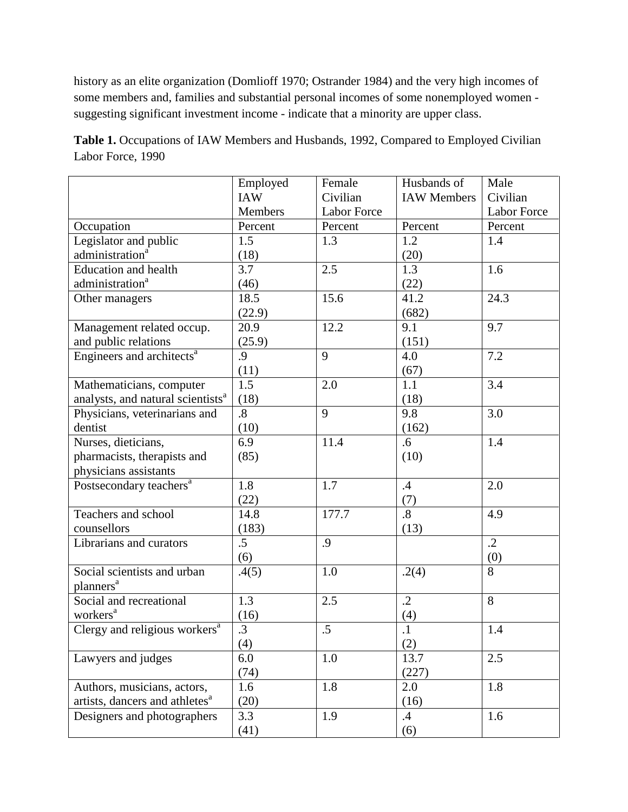history as an elite organization (Domlioff 1970; Ostrander 1984) and the very high incomes of some members and, families and substantial personal incomes of some nonemployed women suggesting significant investment income - indicate that a minority are upper class.

**Table 1.** Occupations of IAW Members and Husbands, 1992, Compared to Employed Civilian Labor Force, 1990

|                                               | Employed       | Female             | Husbands of        | Male        |
|-----------------------------------------------|----------------|--------------------|--------------------|-------------|
|                                               | <b>IAW</b>     | Civilian           | <b>IAW Members</b> | Civilian    |
|                                               | <b>Members</b> | <b>Labor Force</b> |                    | Labor Force |
| Occupation                                    | Percent        | Percent            | Percent            | Percent     |
| Legislator and public                         | 1.5            | 1.3                | 1.2                | 1.4         |
| administration <sup>a</sup>                   | (18)           |                    | (20)               |             |
| <b>Education and health</b>                   | 3.7            | 2.5                | 1.3                | 1.6         |
| administration <sup>a</sup>                   | (46)           |                    | (22)               |             |
| Other managers                                | 18.5           | 15.6               | 41.2               | 24.3        |
|                                               | (22.9)         |                    | (682)              |             |
| Management related occup.                     | 20.9           | 12.2               | 9.1                | 9.7         |
| and public relations                          | (25.9)         |                    | (151)              |             |
| Engineers and architects <sup>a</sup>         | .9             | 9                  | 4.0                | 7.2         |
|                                               | (11)           |                    | (67)               |             |
| Mathematicians, computer                      | 1.5            | 2.0                | 1.1                | 3.4         |
| analysts, and natural scientists <sup>a</sup> | (18)           |                    | (18)               |             |
| Physicians, veterinarians and                 | .8             | 9                  | 9.8                | 3.0         |
| dentist                                       | (10)           |                    | (162)              |             |
| Nurses, dieticians,                           | 6.9            | 11.4               | .6                 | 1.4         |
| pharmacists, therapists and                   | (85)           |                    | (10)               |             |
| physicians assistants                         |                |                    |                    |             |
| Postsecondary teachers <sup>a</sup>           | 1.8            | 1.7                | .4                 | 2.0         |
|                                               | (22)           |                    | (7)                |             |
| Teachers and school                           | 14.8           | 177.7              | $\overline{.8}$    | 4.9         |
| counsellors                                   | (183)          |                    | (13)               |             |
| Librarians and curators                       | $.5\,$         | .9                 |                    | $\cdot$ .2  |
|                                               | (6)            |                    |                    | (0)         |
| Social scientists and urban                   | .4(5)          | 1.0                | .2(4)              | 8           |
| planners <sup>a</sup>                         |                |                    |                    |             |
| Social and recreational                       | 1.3            | 2.5                | $\cdot$ .2         | 8           |
| workers <sup>a</sup>                          | (16)           |                    | (4)                |             |
| Clergy and religious workers <sup>a</sup>     | .3             | $\mathfrak{S}$     | $\overline{1}$     | 1.4         |
|                                               | (4)            |                    | (2)                |             |
| Lawyers and judges                            | 6.0            | 1.0                | 13.7               | 2.5         |
|                                               | (74)           |                    | (227)              |             |
| Authors, musicians, actors,                   | 1.6            | 1.8                | 2.0                | 1.8         |
| artists, dancers and athletes <sup>a</sup>    | (20)           |                    | (16)               |             |
| Designers and photographers                   | 3.3            | 1.9                | $\cdot$            | 1.6         |
|                                               | (41)           |                    | (6)                |             |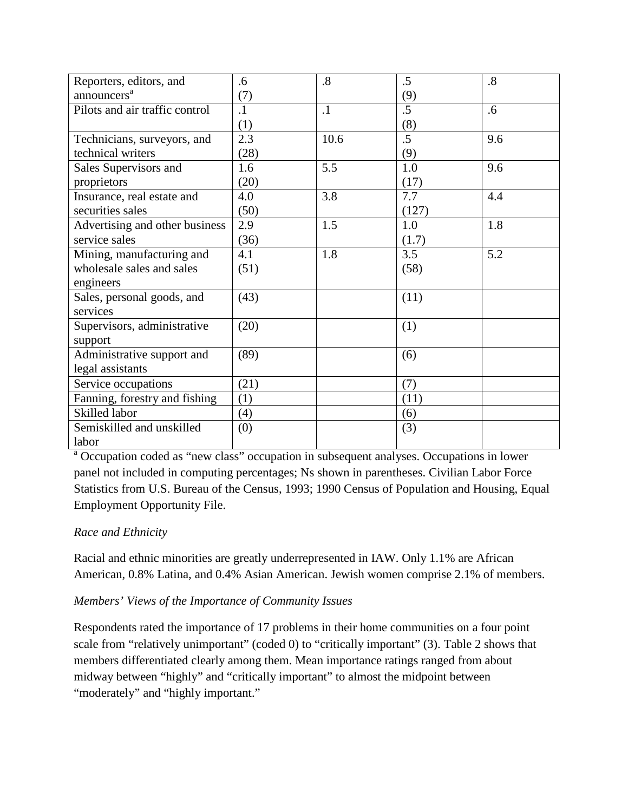| Reporters, editors, and        | .6        | .8        | .5     | .8  |
|--------------------------------|-----------|-----------|--------|-----|
| announcers <sup>a</sup>        | (7)       |           | (9)    |     |
| Pilots and air traffic control | $\cdot$ 1 | $\cdot$ 1 | $.5\,$ | .6  |
|                                | (1)       |           | (8)    |     |
| Technicians, surveyors, and    | 2.3       | 10.6      | .5     | 9.6 |
| technical writers              | (28)      |           | (9)    |     |
| Sales Supervisors and          | 1.6       | 5.5       | 1.0    | 9.6 |
| proprietors                    | (20)      |           | (17)   |     |
| Insurance, real estate and     | 4.0       | 3.8       | 7.7    | 4.4 |
| securities sales               | (50)      |           | (127)  |     |
| Advertising and other business | 2.9       | 1.5       | 1.0    | 1.8 |
| service sales                  | (36)      |           | (1.7)  |     |
| Mining, manufacturing and      | 4.1       | 1.8       | 3.5    | 5.2 |
| wholesale sales and sales      | (51)      |           | (58)   |     |
| engineers                      |           |           |        |     |
| Sales, personal goods, and     | (43)      |           | (11)   |     |
| services                       |           |           |        |     |
| Supervisors, administrative    | (20)      |           | (1)    |     |
| support                        |           |           |        |     |
| Administrative support and     | (89)      |           | (6)    |     |
| legal assistants               |           |           |        |     |
| Service occupations            | (21)      |           | (7)    |     |
| Fanning, forestry and fishing  | (1)       |           | (11)   |     |
| Skilled labor                  | (4)       |           | (6)    |     |
| Semiskilled and unskilled      | (0)       |           | (3)    |     |
| labor                          |           |           |        |     |

<sup>a</sup> Occupation coded as "new class" occupation in subsequent analyses. Occupations in lower panel not included in computing percentages; Ns shown in parentheses. Civilian Labor Force Statistics from U.S. Bureau of the Census, 1993; 1990 Census of Population and Housing, Equal Employment Opportunity File.

### *Race and Ethnicity*

Racial and ethnic minorities are greatly underrepresented in IAW. Only 1.1% are African American, 0.8% Latina, and 0.4% Asian American. Jewish women comprise 2.1% of members.

### *Members' Views of the Importance of Community Issues*

Respondents rated the importance of 17 problems in their home communities on a four point scale from "relatively unimportant" (coded 0) to "critically important" (3). Table 2 shows that members differentiated clearly among them. Mean importance ratings ranged from about midway between "highly" and "critically important" to almost the midpoint between "moderately" and "highly important."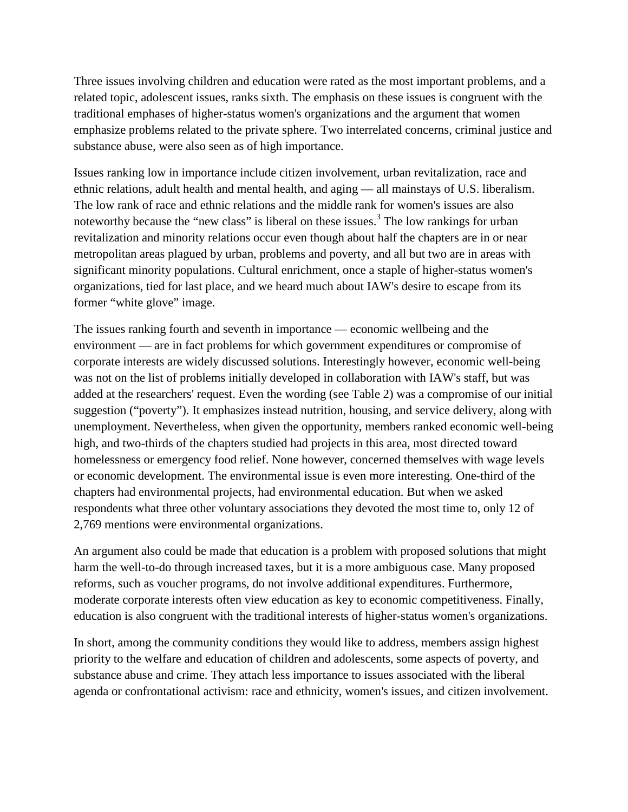Three issues involving children and education were rated as the most important problems, and a related topic, adolescent issues, ranks sixth. The emphasis on these issues is congruent with the traditional emphases of higher-status women's organizations and the argument that women emphasize problems related to the private sphere. Two interrelated concerns, criminal justice and substance abuse, were also seen as of high importance.

Issues ranking low in importance include citizen involvement, urban revitalization, race and ethnic relations, adult health and mental health, and aging — all mainstays of U.S. liberalism. The low rank of race and ethnic relations and the middle rank for women's issues are also noteworthy because the "new class" is liberal on these issues.<sup>3</sup> The low rankings for urban revitalization and minority relations occur even though about half the chapters are in or near metropolitan areas plagued by urban, problems and poverty, and all but two are in areas with significant minority populations. Cultural enrichment, once a staple of higher-status women's organizations, tied for last place, and we heard much about IAW's desire to escape from its former "white glove" image.

The issues ranking fourth and seventh in importance — economic wellbeing and the environment — are in fact problems for which government expenditures or compromise of corporate interests are widely discussed solutions. Interestingly however, economic well-being was not on the list of problems initially developed in collaboration with IAW's staff, but was added at the researchers' request. Even the wording (see Table 2) was a compromise of our initial suggestion ("poverty"). It emphasizes instead nutrition, housing, and service delivery, along with unemployment. Nevertheless, when given the opportunity, members ranked economic well-being high, and two-thirds of the chapters studied had projects in this area, most directed toward homelessness or emergency food relief. None however, concerned themselves with wage levels or economic development. The environmental issue is even more interesting. One-third of the chapters had environmental projects, had environmental education. But when we asked respondents what three other voluntary associations they devoted the most time to, only 12 of 2,769 mentions were environmental organizations.

An argument also could be made that education is a problem with proposed solutions that might harm the well-to-do through increased taxes, but it is a more ambiguous case. Many proposed reforms, such as voucher programs, do not involve additional expenditures. Furthermore, moderate corporate interests often view education as key to economic competitiveness. Finally, education is also congruent with the traditional interests of higher-status women's organizations.

In short, among the community conditions they would like to address, members assign highest priority to the welfare and education of children and adolescents, some aspects of poverty, and substance abuse and crime. They attach less importance to issues associated with the liberal agenda or confrontational activism: race and ethnicity, women's issues, and citizen involvement.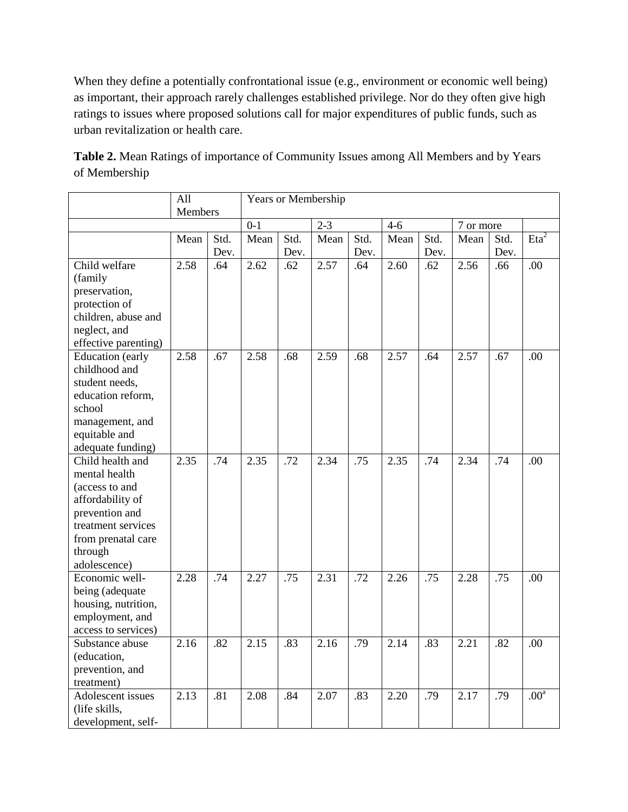When they define a potentially confrontational issue (e.g., environment or economic well being) as important, their approach rarely challenges established privilege. Nor do they often give high ratings to issues where proposed solutions call for major expenditures of public funds, such as urban revitalization or health care.

|                                                                                                                                                                  | All     |              | Years or Membership |                  |                   |              |           |              |      |              |                  |
|------------------------------------------------------------------------------------------------------------------------------------------------------------------|---------|--------------|---------------------|------------------|-------------------|--------------|-----------|--------------|------|--------------|------------------|
|                                                                                                                                                                  | Members |              |                     |                  |                   |              |           |              |      |              |                  |
|                                                                                                                                                                  |         |              | $0 - 1$             | $2 - 3$<br>$4-6$ |                   |              | 7 or more |              |      |              |                  |
|                                                                                                                                                                  | Mean    | Std.<br>Dev. | Mean                | Std.<br>Dev.     | Mean              | Std.<br>Dev. | Mean      | Std.<br>Dev. | Mean | Std.<br>Dev. | E <sup>2</sup>   |
| Child welfare<br>(family<br>preservation,<br>protection of<br>children, abuse and<br>neglect, and<br>effective parenting)                                        | 2.58    | .64          | 2.62                | .62              | 2.57              | .64          | 2.60      | .62          | 2.56 | .66          | .00              |
| <b>Education</b> (early<br>childhood and<br>student needs,<br>education reform,<br>school<br>management, and<br>equitable and<br>adequate funding)               | 2.58    | .67          | 2.58                | .68              | 2.59              | .68          | 2.57      | .64          | 2.57 | .67          | .00              |
| Child health and<br>mental health<br>(access to and<br>affordability of<br>prevention and<br>treatment services<br>from prenatal care<br>through<br>adolescence) | 2.35    | .74          | 2.35                | .72              | 2.34              | .75          | 2.35      | .74          | 2.34 | .74          | .00              |
| Economic well-<br>being (adequate<br>housing, nutrition,<br>employment, and<br>access to services)                                                               | 2.28    | .74          | 2.27                | .75              | $\overline{2.31}$ | .72          | 2.26      | .75          | 2.28 | .75          | $\overline{00}$  |
| Substance abuse<br>(education,<br>prevention, and<br>treatment)                                                                                                  | 2.16    | .82          | 2.15                | .83              | 2.16              | .79          | 2.14      | .83          | 2.21 | .82          | .00              |
| Adolescent issues<br>(life skills,<br>development, self-                                                                                                         | 2.13    | .81          | 2.08                | .84              | 2.07              | .83          | 2.20      | .79          | 2.17 | .79          | .00 <sup>a</sup> |

**Table 2.** Mean Ratings of importance of Community Issues among All Members and by Years of Membership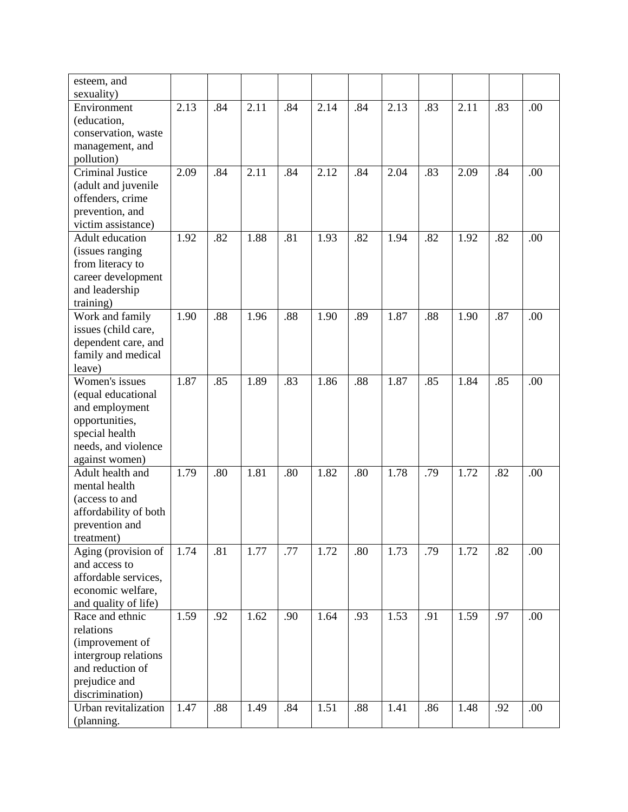| esteem, and<br>sexuality) |      |     |      |     |      |     |      |     |      |     |     |
|---------------------------|------|-----|------|-----|------|-----|------|-----|------|-----|-----|
| Environment               | 2.13 | .84 | 2.11 | .84 | 2.14 | .84 | 2.13 | .83 | 2.11 | .83 | .00 |
| (education,               |      |     |      |     |      |     |      |     |      |     |     |
| conservation, waste       |      |     |      |     |      |     |      |     |      |     |     |
| management, and           |      |     |      |     |      |     |      |     |      |     |     |
| pollution)                |      |     |      |     |      |     |      |     |      |     |     |
| <b>Criminal Justice</b>   | 2.09 | .84 | 2.11 | .84 | 2.12 | .84 | 2.04 | .83 | 2.09 | .84 | .00 |
| (adult and juvenile       |      |     |      |     |      |     |      |     |      |     |     |
| offenders, crime          |      |     |      |     |      |     |      |     |      |     |     |
| prevention, and           |      |     |      |     |      |     |      |     |      |     |     |
| victim assistance)        |      |     |      |     |      |     |      |     |      |     |     |
| Adult education           | 1.92 | .82 | 1.88 | .81 | 1.93 | .82 | 1.94 | .82 | 1.92 | .82 | .00 |
| (issues ranging           |      |     |      |     |      |     |      |     |      |     |     |
| from literacy to          |      |     |      |     |      |     |      |     |      |     |     |
| career development        |      |     |      |     |      |     |      |     |      |     |     |
| and leadership            |      |     |      |     |      |     |      |     |      |     |     |
| training)                 |      |     |      |     |      |     |      |     |      |     |     |
| Work and family           | 1.90 | .88 | 1.96 | .88 | 1.90 | .89 | 1.87 | .88 | 1.90 | .87 | .00 |
| issues (child care,       |      |     |      |     |      |     |      |     |      |     |     |
| dependent care, and       |      |     |      |     |      |     |      |     |      |     |     |
| family and medical        |      |     |      |     |      |     |      |     |      |     |     |
| leave)                    |      |     |      |     |      |     |      |     |      |     |     |
| Women's issues            | 1.87 | .85 | 1.89 | .83 | 1.86 | .88 | 1.87 | .85 | 1.84 | .85 | .00 |
| (equal educational        |      |     |      |     |      |     |      |     |      |     |     |
| and employment            |      |     |      |     |      |     |      |     |      |     |     |
| opportunities,            |      |     |      |     |      |     |      |     |      |     |     |
| special health            |      |     |      |     |      |     |      |     |      |     |     |
| needs, and violence       |      |     |      |     |      |     |      |     |      |     |     |
| against women)            |      |     |      |     |      |     |      |     |      |     |     |
| Adult health and          | 1.79 | .80 | 1.81 | .80 | 1.82 | .80 | 1.78 | .79 | 1.72 | .82 | .00 |
| mental health             |      |     |      |     |      |     |      |     |      |     |     |
| (access to and            |      |     |      |     |      |     |      |     |      |     |     |
| affordability of both     |      |     |      |     |      |     |      |     |      |     |     |
| prevention and            |      |     |      |     |      |     |      |     |      |     |     |
| treatment)                |      |     |      |     |      |     |      |     |      |     |     |
| Aging (provision of       | 1.74 | .81 | 1.77 | .77 | 1.72 | .80 | 1.73 | .79 | 1.72 | .82 | .00 |
| and access to             |      |     |      |     |      |     |      |     |      |     |     |
| affordable services,      |      |     |      |     |      |     |      |     |      |     |     |
| economic welfare,         |      |     |      |     |      |     |      |     |      |     |     |
| and quality of life)      |      |     |      |     |      |     |      |     |      |     |     |
| Race and ethnic           | 1.59 | .92 | 1.62 | .90 | 1.64 | .93 | 1.53 | .91 | 1.59 | .97 | .00 |
| relations                 |      |     |      |     |      |     |      |     |      |     |     |
| (improvement of           |      |     |      |     |      |     |      |     |      |     |     |
| intergroup relations      |      |     |      |     |      |     |      |     |      |     |     |
| and reduction of          |      |     |      |     |      |     |      |     |      |     |     |
| prejudice and             |      |     |      |     |      |     |      |     |      |     |     |
| discrimination)           |      |     |      |     |      |     |      |     |      |     |     |
| Urban revitalization      | 1.47 | .88 | 1.49 | .84 | 1.51 | .88 | 1.41 | .86 | 1.48 | .92 | .00 |
| (planning.                |      |     |      |     |      |     |      |     |      |     |     |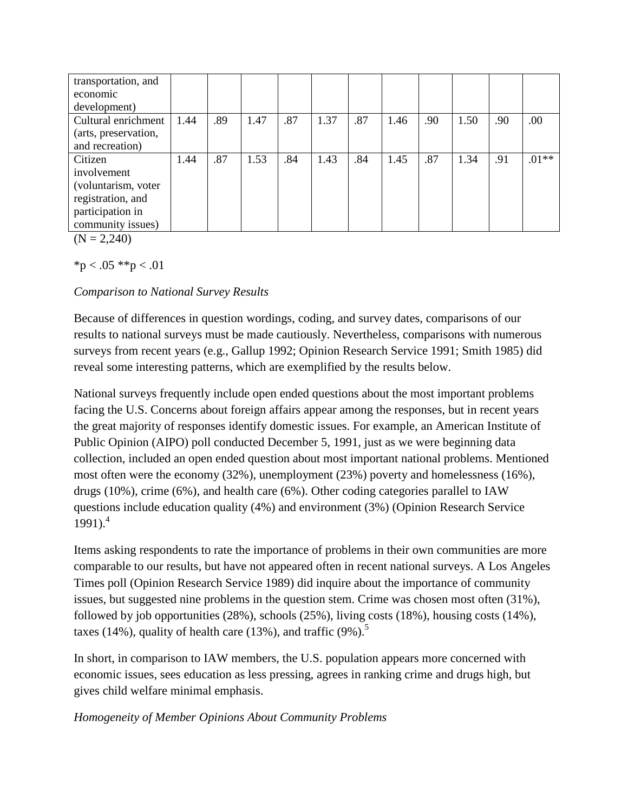| transportation, and  |      |     |      |     |      |     |      |     |      |     |         |
|----------------------|------|-----|------|-----|------|-----|------|-----|------|-----|---------|
| economic             |      |     |      |     |      |     |      |     |      |     |         |
| development)         |      |     |      |     |      |     |      |     |      |     |         |
| Cultural enrichment  | 1.44 | .89 | 1.47 | .87 | 1.37 | .87 | 1.46 | .90 | 1.50 | .90 | .00     |
| (arts, preservation, |      |     |      |     |      |     |      |     |      |     |         |
| and recreation)      |      |     |      |     |      |     |      |     |      |     |         |
| Citizen              | 1.44 | .87 | 1.53 | .84 | 1.43 | .84 | 1.45 | .87 | 1.34 | .91 | $.01**$ |
| involvement          |      |     |      |     |      |     |      |     |      |     |         |
| (voluntarism, voter  |      |     |      |     |      |     |      |     |      |     |         |
| registration, and    |      |     |      |     |      |     |      |     |      |     |         |
| participation in     |      |     |      |     |      |     |      |     |      |     |         |
| community issues)    |      |     |      |     |      |     |      |     |      |     |         |

 $(N = 2,240)$ 

 $*p < .05**p < .01$ 

### *Comparison to National Survey Results*

Because of differences in question wordings, coding, and survey dates, comparisons of our results to national surveys must be made cautiously. Nevertheless, comparisons with numerous surveys from recent years (e.g., Gallup 1992; Opinion Research Service 1991; Smith 1985) did reveal some interesting patterns, which are exemplified by the results below.

National surveys frequently include open ended questions about the most important problems facing the U.S. Concerns about foreign affairs appear among the responses, but in recent years the great majority of responses identify domestic issues. For example, an American Institute of Public Opinion (AIPO) poll conducted December 5, 1991, just as we were beginning data collection, included an open ended question about most important national problems. Mentioned most often were the economy (32%), unemployment (23%) poverty and homelessness (16%), drugs (10%), crime (6%), and health care (6%). Other coding categories parallel to IAW questions include education quality (4%) and environment (3%) (Opinion Research Service  $1991$ .<sup>4</sup>

Items asking respondents to rate the importance of problems in their own communities are more comparable to our results, but have not appeared often in recent national surveys. A Los Angeles Times poll (Opinion Research Service 1989) did inquire about the importance of community issues, but suggested nine problems in the question stem. Crime was chosen most often (31%), followed by job opportunities (28%), schools (25%), living costs (18%), housing costs (14%), taxes (14%), quality of health care (13%), and traffic  $(9\%)$ .<sup>5</sup>

In short, in comparison to IAW members, the U.S. population appears more concerned with economic issues, sees education as less pressing, agrees in ranking crime and drugs high, but gives child welfare minimal emphasis.

#### *Homogeneity of Member Opinions About Community Problems*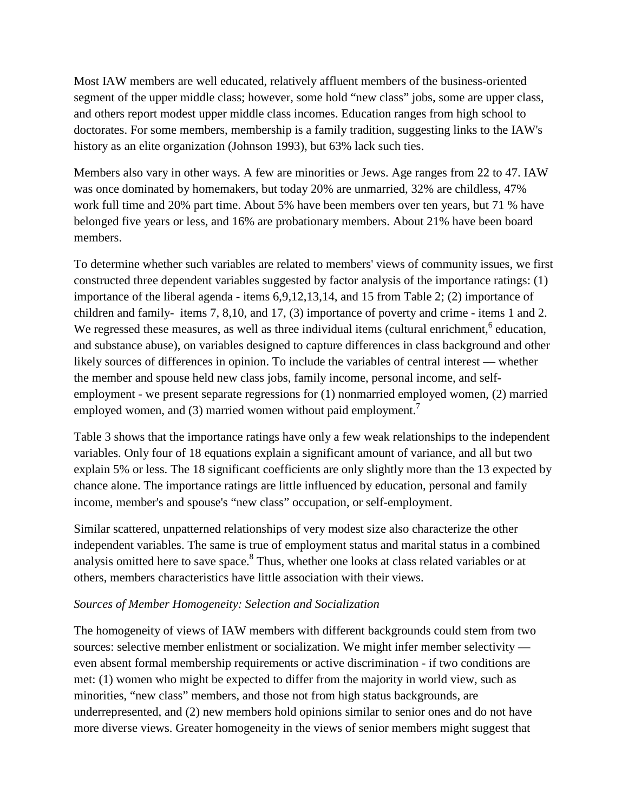Most IAW members are well educated, relatively affluent members of the business-oriented segment of the upper middle class; however, some hold "new class" jobs, some are upper class, and others report modest upper middle class incomes. Education ranges from high school to doctorates. For some members, membership is a family tradition, suggesting links to the IAW's history as an elite organization (Johnson 1993), but 63% lack such ties.

Members also vary in other ways. A few are minorities or Jews. Age ranges from 22 to 47. IAW was once dominated by homemakers, but today 20% are unmarried, 32% are childless, 47% work full time and 20% part time. About 5% have been members over ten years, but 71 % have belonged five years or less, and 16% are probationary members. About 21% have been board members.

To determine whether such variables are related to members' views of community issues, we first constructed three dependent variables suggested by factor analysis of the importance ratings: (1) importance of the liberal agenda - items 6,9,12,13,14, and 15 from Table 2; (2) importance of children and family- items 7, 8,10, and 17, (3) importance of poverty and crime - items 1 and 2. We regressed these measures, as well as three individual items (cultural enrichment, $<sup>6</sup>$  education,</sup> and substance abuse), on variables designed to capture differences in class background and other likely sources of differences in opinion. To include the variables of central interest — whether the member and spouse held new class jobs, family income, personal income, and selfemployment - we present separate regressions for (1) nonmarried employed women, (2) married employed women, and (3) married women without paid employment.<sup>7</sup>

Table 3 shows that the importance ratings have only a few weak relationships to the independent variables. Only four of 18 equations explain a significant amount of variance, and all but two explain 5% or less. The 18 significant coefficients are only slightly more than the 13 expected by chance alone. The importance ratings are little influenced by education, personal and family income, member's and spouse's "new class" occupation, or self-employment.

Similar scattered, unpatterned relationships of very modest size also characterize the other independent variables. The same is true of employment status and marital status in a combined analysis omitted here to save space.<sup>8</sup> Thus, whether one looks at class related variables or at others, members characteristics have little association with their views.

### *Sources of Member Homogeneity: Selection and Socialization*

The homogeneity of views of IAW members with different backgrounds could stem from two sources: selective member enlistment or socialization. We might infer member selectivity even absent formal membership requirements or active discrimination - if two conditions are met: (1) women who might be expected to differ from the majority in world view, such as minorities, "new class" members, and those not from high status backgrounds, are underrepresented, and (2) new members hold opinions similar to senior ones and do not have more diverse views. Greater homogeneity in the views of senior members might suggest that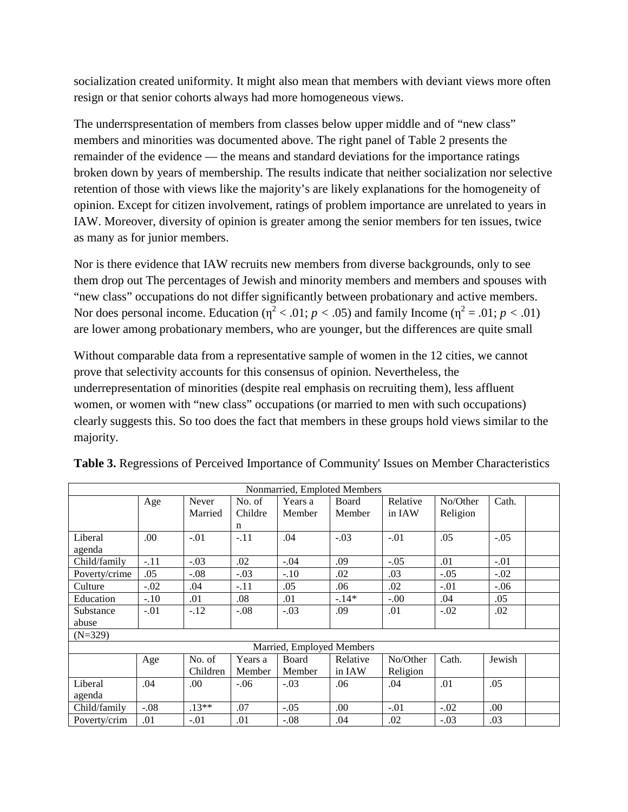socialization created uniformity. It might also mean that members with deviant views more often resign or that senior cohorts always had more homogeneous views.

The underrspresentation of members from classes below upper middle and of "new class" members and minorities was documented above. The right panel of Table 2 presents the remainder of the evidence — the means and standard deviations for the importance ratings broken down by years of membership. The results indicate that neither socialization nor selective retention of those with views like the majority's are likely explanations for the homogeneity of opinion. Except for citizen involvement, ratings of problem importance are unrelated to years in IAW. Moreover, diversity of opinion is greater among the senior members for ten issues, twice as many as for junior members.

Nor is there evidence that IAW recruits new members from diverse backgrounds, only to see them drop out The percentages of Jewish and minority members and members and spouses with "new class" occupations do not differ significantly between probationary and active members. Nor does personal income. Education ( $\eta^2$  < .01; *p* < .05) and family Income ( $\eta^2$  = .01; *p* < .01) are lower among probationary members, who are younger, but the differences are quite small

Without comparable data from a representative sample of women in the 12 cities, we cannot prove that selectivity accounts for this consensus of opinion. Nevertheless, the underrepresentation of minorities (despite real emphasis on recruiting them), less affluent women, or women with "new class" occupations (or married to men with such occupations) clearly suggests this. So too does the fact that members in these groups hold views similar to the majority.

| Nonmarried, Emploted Members |        |          |         |                           |          |          |          |        |  |
|------------------------------|--------|----------|---------|---------------------------|----------|----------|----------|--------|--|
|                              | Age    | Never    | No. of  | Years a                   | Board    | Relative | No/Other | Cath.  |  |
|                              |        | Married  | Childre | Member                    | Member   | in IAW   | Religion |        |  |
|                              |        |          | n       |                           |          |          |          |        |  |
| Liberal                      | .00    | $-.01$   | $-.11$  | .04                       | $-.03$   | $-.01$   | .05      | $-.05$ |  |
| agenda                       |        |          |         |                           |          |          |          |        |  |
| Child/family                 | $-.11$ | $-.03$   | .02     | $-.04$                    | .09      | $-.05$   | .01      | $-.01$ |  |
| Poverty/crime                | .05    | $-.08$   | $-.03$  | $-.10$                    | .02      | .03      | $-.05$   | $-.02$ |  |
| Culture                      | $-.02$ | .04      | $-.11$  | .05                       | .06      | .02      | $-.01$   | $-.06$ |  |
| Education                    | $-.10$ | .01      | .08     | .01                       | $-.14*$  | $-.00$   | .04      | .05    |  |
| Substance                    | $-.01$ | $-.12$   | $-.08$  | $-.03$                    | .09      | .01      | $-.02$   | .02    |  |
| abuse                        |        |          |         |                           |          |          |          |        |  |
| $(N=329)$                    |        |          |         |                           |          |          |          |        |  |
|                              |        |          |         | Married, Employed Members |          |          |          |        |  |
|                              | Age    | No. of   | Years a | Board                     | Relative | No/Other | Cath.    | Jewish |  |
|                              |        | Children | Member  | Member                    | in IAW   | Religion |          |        |  |
| Liberal                      | .04    | .00      | $-.06$  | $-.03$                    | .06      | .04      | .01      | .05    |  |
| agenda                       |        |          |         |                           |          |          |          |        |  |
| Child/family                 | $-.08$ | $.13**$  | .07     | $-.05$                    | .00      | $-.01$   | $-.02$   | .00    |  |
| Poverty/crim                 | .01    | $-.01$   | .01     | $-.08$                    | .04      | .02      | $-.03$   | .03    |  |

|  | Table 3. Regressions of Perceived Importance of Community' Issues on Member Characteristics |
|--|---------------------------------------------------------------------------------------------|
|  |                                                                                             |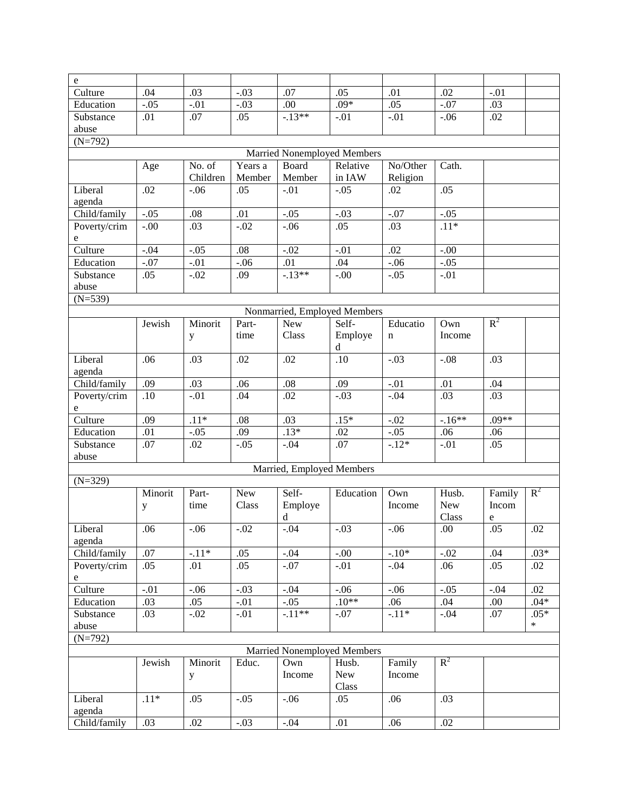| e                           |                  |          |            |                           |                              |          |         |         |        |  |
|-----------------------------|------------------|----------|------------|---------------------------|------------------------------|----------|---------|---------|--------|--|
| Culture                     | .04              | .03      | $-.03$     | .07                       | .05                          | .01      | .02     | $-.01$  |        |  |
| Education                   | $-.05$           | $-01$    | $-.03$     | .00.                      | $.09*$                       | .05      | $-0.07$ | .03     |        |  |
| Substance                   | $\overline{.01}$ | .07      | .05        | $-13**$                   | $-.01$                       | $-0.01$  | $-.06$  | .02     |        |  |
| abuse                       |                  |          |            |                           |                              |          |         |         |        |  |
| $(N=792)$                   |                  |          |            |                           |                              |          |         |         |        |  |
| Married Nonemployed Members |                  |          |            |                           |                              |          |         |         |        |  |
|                             | Age              | No. of   | Years a    | Board                     | Relative                     | No/Other | Cath.   |         |        |  |
|                             |                  | Children | Member     | Member                    | in IAW                       | Religion |         |         |        |  |
| Liberal                     | .02              | $-.06$   | .05        | $-.01$                    | $-.05$                       | .02      | .05     |         |        |  |
| agenda                      |                  |          |            |                           |                              |          |         |         |        |  |
| Child/family                | $-.05$           | .08      | .01        | $-.05$                    | $-.03$                       | $-.07$   | $-.05$  |         |        |  |
| Poverty/crim                | $-.00$           | .03      | $-.02$     | $-.06$                    | .05                          | .03      | $.11*$  |         |        |  |
| e                           |                  |          |            |                           |                              |          |         |         |        |  |
| Culture                     | $-.04$           | $-.05$   | .08        | $-.02$                    | $-.01$                       | .02      | $-.00$  |         |        |  |
| Education                   | $-.07$           | $-.01$   | $-.06$     | .01                       | .04                          | $-.06$   | $-.05$  |         |        |  |
| Substance                   | .05              | $-.02$   | .09        | $-13**$                   | $-.00$                       | $-.05$   | $-.01$  |         |        |  |
| abuse                       |                  |          |            |                           |                              |          |         |         |        |  |
| $(N=539)$                   |                  |          |            |                           |                              |          |         |         |        |  |
|                             |                  |          |            |                           | Nonmarried, Employed Members |          |         |         |        |  |
|                             | Jewish           | Minorit  | Part-      | <b>New</b>                | Self-                        | Educatio | Own     | $R^2$   |        |  |
|                             |                  | y        | time       | Class                     | Employe                      | n        | Income  |         |        |  |
|                             |                  |          |            |                           | d                            |          |         |         |        |  |
| Liberal                     | .06              | .03      | .02        | .02                       | .10                          | $-.03$   | $-.08$  | .03     |        |  |
| agenda                      |                  |          |            |                           |                              |          |         |         |        |  |
| Child/family                | .09              | .03      | .06        | $.08\,$                   | .09                          | $-.01$   | .01     | .04     |        |  |
| Poverty/crim                | .10              | $-.01$   | .04        | .02                       | $-.03$                       | $-.04$   | .03     | .03     |        |  |
| e                           |                  |          |            |                           |                              |          |         |         |        |  |
| Culture                     | .09              | $.11*$   | .08        | .03                       | $.15*$                       | $-.02$   | $-16**$ | $.09**$ |        |  |
| Education                   | .01              | $-.05$   | .09        | $.13*$                    | .02                          | $-.05$   | .06     | .06     |        |  |
| Substance                   | .07              | .02      | $-.05$     | $-.04$                    | .07                          | $-.12*$  | $-.01$  | .05     |        |  |
| abuse                       |                  |          |            |                           |                              |          |         |         |        |  |
|                             |                  |          |            | Married, Employed Members |                              |          |         |         |        |  |
| $(N=329)$                   |                  |          |            |                           |                              |          |         |         |        |  |
|                             | Minorit          | Part-    | <b>New</b> | Self-                     | Education                    | Own      | Husb.   | Family  | $R^2$  |  |
|                             | y                | time     | Class      | Employe                   |                              | Income   | New     | Incom   |        |  |
|                             |                  |          |            | d                         |                              |          | Class   | e       |        |  |
| Liberal                     | .06              | .06      | .02        | .04                       | .03                          | .06      | .00.    | .05     | .02    |  |
| agenda                      |                  |          |            |                           |                              |          |         |         |        |  |
| Child/family                | .07              | $-.11*$  | .05        | $-.04$                    | $-.00$                       | $-.10*$  | $-.02$  | .04     | $.03*$ |  |
| Poverty/crim                | .05              | .01      | .05        | $-.07$                    | $-.01$                       | $-.04$   | .06     | .05     | .02    |  |
| e                           |                  |          |            |                           |                              |          |         |         |        |  |
| Culture                     | $-.01$           | $-.06$   | $-.03$     | $-.04$                    | $-.06$                       | $-.06$   | $-.05$  | $-.04$  | .02    |  |
| Education                   | .03              | .05      | $-.01$     | $-0.05$                   | $.10**$                      | .06      | .04     | .00.    | $.04*$ |  |
| Substance                   | .03              | $-.02$   | $-.01$     | $-11**$                   | $-.07$                       | $-.11*$  | $-.04$  | .07     | $.05*$ |  |
| abuse                       |                  |          |            |                           |                              |          |         |         | $\ast$ |  |
|                             | $(N=792)$        |          |            |                           |                              |          |         |         |        |  |
|                             |                  |          |            |                           | Married Nonemployed Members  |          |         |         |        |  |
|                             | Jewish           | Minorit  | Educ.      | Own                       | Husb.                        | Family   | $R^2$   |         |        |  |
|                             |                  | y        |            | Income                    | New                          | Income   |         |         |        |  |
|                             |                  |          |            |                           | Class                        |          |         |         |        |  |
| Liberal                     | $.11*$           | .05      | $-.05$     | $-.06$                    | .05                          | .06      | .03     |         |        |  |
| agenda                      |                  |          |            |                           |                              |          |         |         |        |  |
| Child/family                | .03              | .02      | $-.03$     | $-.04$                    | .01                          | .06      | .02     |         |        |  |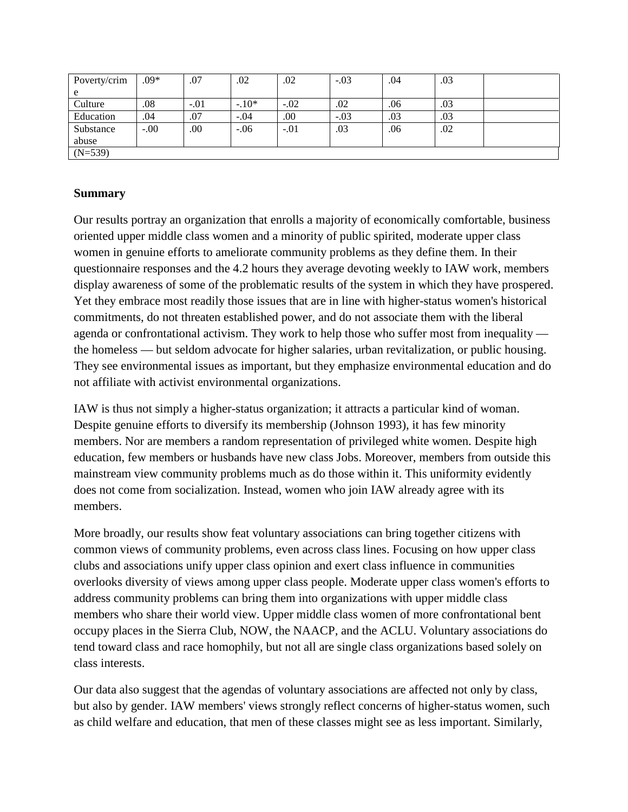| Poverty/crim | $.09*$ | .07    | .02     | .02    | $-.03$ | .04 | .03 |  |
|--------------|--------|--------|---------|--------|--------|-----|-----|--|
| e            |        |        |         |        |        |     |     |  |
| Culture      | .08    | $-.01$ | $-.10*$ | $-.02$ | .02    | .06 | .03 |  |
| Education    | .04    | .07    | $-.04$  | .00    | $-.03$ | .03 | .03 |  |
| Substance    | $-.00$ | .00.   | $-.06$  | $-.01$ | .03    | .06 | .02 |  |
| abuse        |        |        |         |        |        |     |     |  |
| $(N=539)$    |        |        |         |        |        |     |     |  |

### **Summary**

Our results portray an organization that enrolls a majority of economically comfortable, business oriented upper middle class women and a minority of public spirited, moderate upper class women in genuine efforts to ameliorate community problems as they define them. In their questionnaire responses and the 4.2 hours they average devoting weekly to IAW work, members display awareness of some of the problematic results of the system in which they have prospered. Yet they embrace most readily those issues that are in line with higher-status women's historical commitments, do not threaten established power, and do not associate them with the liberal agenda or confrontational activism. They work to help those who suffer most from inequality the homeless — but seldom advocate for higher salaries, urban revitalization, or public housing. They see environmental issues as important, but they emphasize environmental education and do not affiliate with activist environmental organizations.

IAW is thus not simply a higher-status organization; it attracts a particular kind of woman. Despite genuine efforts to diversify its membership (Johnson 1993), it has few minority members. Nor are members a random representation of privileged white women. Despite high education, few members or husbands have new class Jobs. Moreover, members from outside this mainstream view community problems much as do those within it. This uniformity evidently does not come from socialization. Instead, women who join IAW already agree with its members.

More broadly, our results show feat voluntary associations can bring together citizens with common views of community problems, even across class lines. Focusing on how upper class clubs and associations unify upper class opinion and exert class influence in communities overlooks diversity of views among upper class people. Moderate upper class women's efforts to address community problems can bring them into organizations with upper middle class members who share their world view. Upper middle class women of more confrontational bent occupy places in the Sierra Club, NOW, the NAACP, and the ACLU. Voluntary associations do tend toward class and race homophily, but not all are single class organizations based solely on class interests.

Our data also suggest that the agendas of voluntary associations are affected not only by class, but also by gender. IAW members' views strongly reflect concerns of higher-status women, such as child welfare and education, that men of these classes might see as less important. Similarly,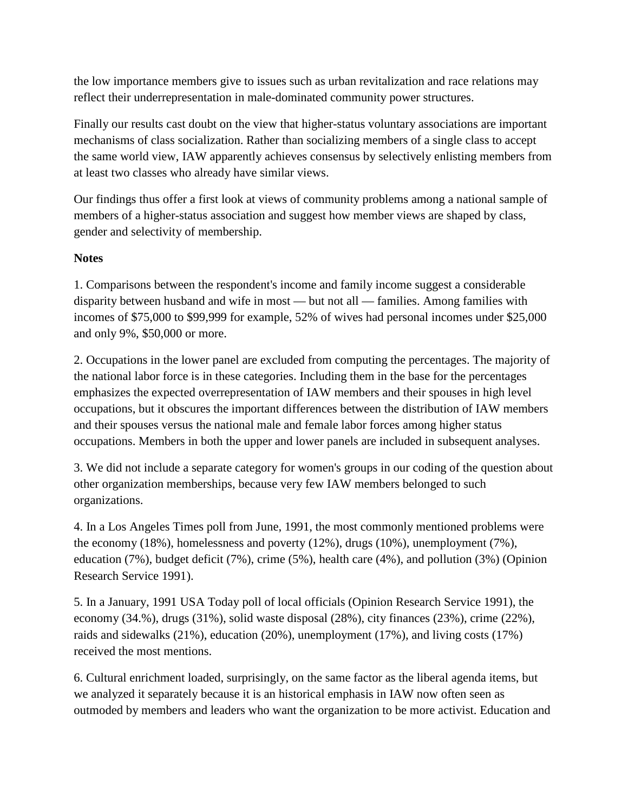the low importance members give to issues such as urban revitalization and race relations may reflect their underrepresentation in male-dominated community power structures.

Finally our results cast doubt on the view that higher-status voluntary associations are important mechanisms of class socialization. Rather than socializing members of a single class to accept the same world view, IAW apparently achieves consensus by selectively enlisting members from at least two classes who already have similar views.

Our findings thus offer a first look at views of community problems among a national sample of members of a higher-status association and suggest how member views are shaped by class, gender and selectivity of membership.

### **Notes**

1. Comparisons between the respondent's income and family income suggest a considerable disparity between husband and wife in most — but not all — families. Among families with incomes of \$75,000 to \$99,999 for example, 52% of wives had personal incomes under \$25,000 and only 9%, \$50,000 or more.

2. Occupations in the lower panel are excluded from computing the percentages. The majority of the national labor force is in these categories. Including them in the base for the percentages emphasizes the expected overrepresentation of IAW members and their spouses in high level occupations, but it obscures the important differences between the distribution of IAW members and their spouses versus the national male and female labor forces among higher status occupations. Members in both the upper and lower panels are included in subsequent analyses.

3. We did not include a separate category for women's groups in our coding of the question about other organization memberships, because very few IAW members belonged to such organizations.

4. In a Los Angeles Times poll from June, 1991, the most commonly mentioned problems were the economy (18%), homelessness and poverty (12%), drugs (10%), unemployment (7%), education (7%), budget deficit (7%), crime (5%), health care (4%), and pollution (3%) (Opinion Research Service 1991).

5. In a January, 1991 USA Today poll of local officials (Opinion Research Service 1991), the economy (34.%), drugs (31%), solid waste disposal (28%), city finances (23%), crime (22%), raids and sidewalks (21%), education (20%), unemployment (17%), and living costs (17%) received the most mentions.

6. Cultural enrichment loaded, surprisingly, on the same factor as the liberal agenda items, but we analyzed it separately because it is an historical emphasis in IAW now often seen as outmoded by members and leaders who want the organization to be more activist. Education and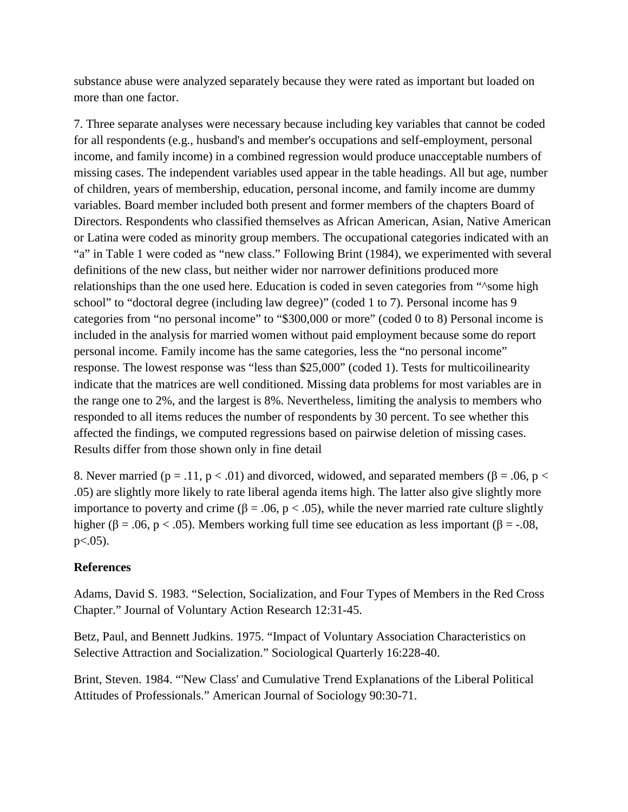substance abuse were analyzed separately because they were rated as important but loaded on more than one factor.

7. Three separate analyses were necessary because including key variables that cannot be coded for all respondents (e.g., husband's and member's occupations and self-employment, personal income, and family income) in a combined regression would produce unacceptable numbers of missing cases. The independent variables used appear in the table headings. All but age, number of children, years of membership, education, personal income, and family income are dummy variables. Board member included both present and former members of the chapters Board of Directors. Respondents who classified themselves as African American, Asian, Native American or Latina were coded as minority group members. The occupational categories indicated with an "a" in Table 1 were coded as "new class." Following Brint (1984), we experimented with several definitions of the new class, but neither wider nor narrower definitions produced more relationships than the one used here. Education is coded in seven categories from "^some high school" to "doctoral degree (including law degree)" (coded 1 to 7). Personal income has 9 categories from "no personal income" to "\$300,000 or more" (coded 0 to 8) Personal income is included in the analysis for married women without paid employment because some do report personal income. Family income has the same categories, less the "no personal income" response. The lowest response was "less than \$25,000" (coded 1). Tests for multicoilinearity indicate that the matrices are well conditioned. Missing data problems for most variables are in the range one to 2%, and the largest is 8%. Nevertheless, limiting the analysis to members who responded to all items reduces the number of respondents by 30 percent. To see whether this affected the findings, we computed regressions based on pairwise deletion of missing cases. Results differ from those shown only in fine detail

8. Never married ( $p = .11$ ,  $p < .01$ ) and divorced, widowed, and separated members ( $\beta = .06$ ,  $p <$ .05) are slightly more likely to rate liberal agenda items high. The latter also give slightly more importance to poverty and crime ( $\beta = .06$ ,  $p < .05$ ), while the never married rate culture slightly higher ( $\beta = .06$ ,  $p < .05$ ). Members working full time see education as less important ( $\beta = .08$ , p<.05).

### **References**

Adams, David S. 1983. "Selection, Socialization, and Four Types of Members in the Red Cross Chapter." Journal of Voluntary Action Research 12:31-45.

Betz, Paul, and Bennett Judkins. 1975. "Impact of Voluntary Association Characteristics on Selective Attraction and Socialization." Sociological Quarterly 16:228-40.

Brint, Steven. 1984. "'New Class' and Cumulative Trend Explanations of the Liberal Political Attitudes of Professionals." American Journal of Sociology 90:30-71.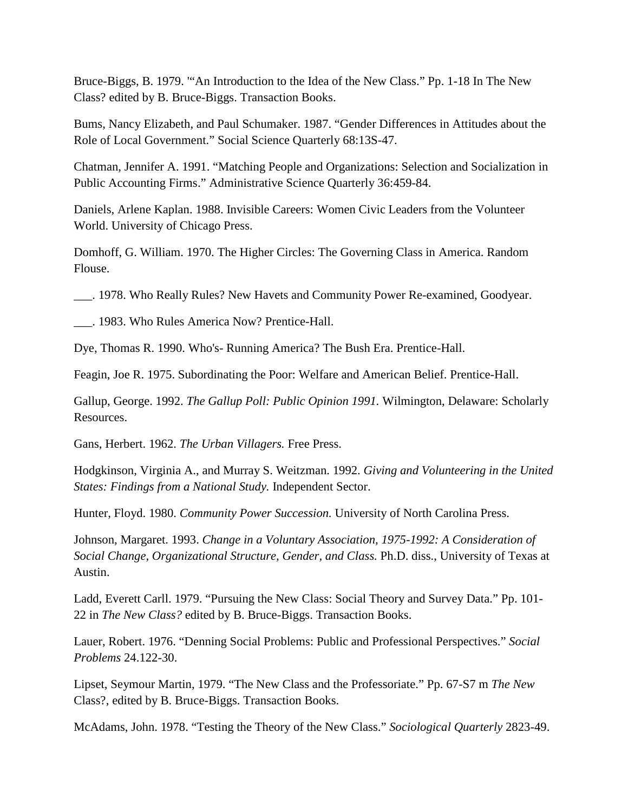Bruce-Biggs, B. 1979. '"An Introduction to the Idea of the New Class." Pp. 1-18 In The New Class? edited by B. Bruce-Biggs. Transaction Books.

Bums, Nancy Elizabeth, and Paul Schumaker. 1987. "Gender Differences in Attitudes about the Role of Local Government." Social Science Quarterly 68:13S-47.

Chatman, Jennifer A. 1991. "Matching People and Organizations: Selection and Socialization in Public Accounting Firms." Administrative Science Quarterly 36:459-84.

Daniels, Arlene Kaplan. 1988. Invisible Careers: Women Civic Leaders from the Volunteer World. University of Chicago Press.

Domhoff, G. William. 1970. The Higher Circles: The Governing Class in America. Random Flouse.

\_\_\_. 1978. Who Really Rules? New Havets and Community Power Re-examined, Goodyear.

\_\_\_. 1983. Who Rules America Now? Prentice-Hall.

Dye, Thomas R. 1990. Who's- Running America? The Bush Era. Prentice-Hall.

Feagin, Joe R. 1975. Subordinating the Poor: Welfare and American Belief. Prentice-Hall.

Gallup, George. 1992. *The Gallup Poll: Public Opinion 1991.* Wilmington, Delaware: Scholarly Resources.

Gans, Herbert. 1962. *The Urban Villagers.* Free Press.

Hodgkinson, Virginia A., and Murray S. Weitzman. 1992. *Giving and Volunteering in the United States: Findings from a National Study.* Independent Sector.

Hunter, Floyd. 1980. *Community Power Succession.* University of North Carolina Press.

Johnson, Margaret. 1993. *Change in a Voluntary Association, 1975-1992: A Consideration of Social Change, Organizational Structure, Gender, and Class.* Ph.D. diss., University of Texas at Austin.

Ladd, Everett Carll. 1979. "Pursuing the New Class: Social Theory and Survey Data." Pp. 101- 22 in *The New Class?* edited by B. Bruce-Biggs. Transaction Books.

Lauer, Robert. 1976. "Denning Social Problems: Public and Professional Perspectives." *Social Problems* 24.122-30.

Lipset, Seymour Martin, 1979. "The New Class and the Professoriate." Pp. 67-S7 m *The New*  Class?, edited by B. Bruce-Biggs. Transaction Books.

McAdams, John. 1978. "Testing the Theory of the New Class." *Sociological Quarterly* 2823-49.